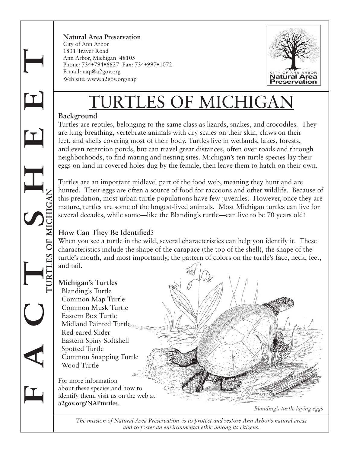**F A C T S H E E T TURTLES OF MICHIGAN** **Natural Area Preservation** City of Ann Arbor 1831 Traver Road Ann Arbor, Michigan 48105 Phone: 734•794•6627 Fax: 734•997•1072 E-mail: nap@a2gov.org Web site: www.a2gov.org/nap



# URTLES OF MICHIGA

## **Background**

Turtles are reptiles, belonging to the same class as lizards, snakes, and crocodiles. They are lung-breathing, vertebrate animals with dry scales on their skin, claws on their feet, and shells covering most of their body. Turtles live in wetlands, lakes, forests, and even retention ponds, but can travel great distances, often over roads and through neighborhoods, to find mating and nesting sites. Michigan's ten turtle species lay their eggs on land in covered holes dug by the female, then leave them to hatch on their own.

Turtles are an important midlevel part of the food web, meaning they hunt and are hunted. Their eggs are often a source of food for raccoons and other wildlife. Because of this predation, most urban turtle populations have few juveniles. However, once they are mature, turtles are some of the longest-lived animals. Most Michigan turtles can live for several decades, while some—like the Blanding's turtle—can live to be 70 years old!

## **How Can They Be Identified?**

When you see a turtle in the wild, several characteristics can help you identify it. These characteristics include the shape of the carapace (the top of the shell), the shape of the turtle's mouth, and most importantly, the pattern of colors on the turtle's face, neck, feet, and tail.



*The mission of Natural Area Preservation is to protect and restore Ann Arbor's natural areas and to foster an environmental ethic among its citizens.*